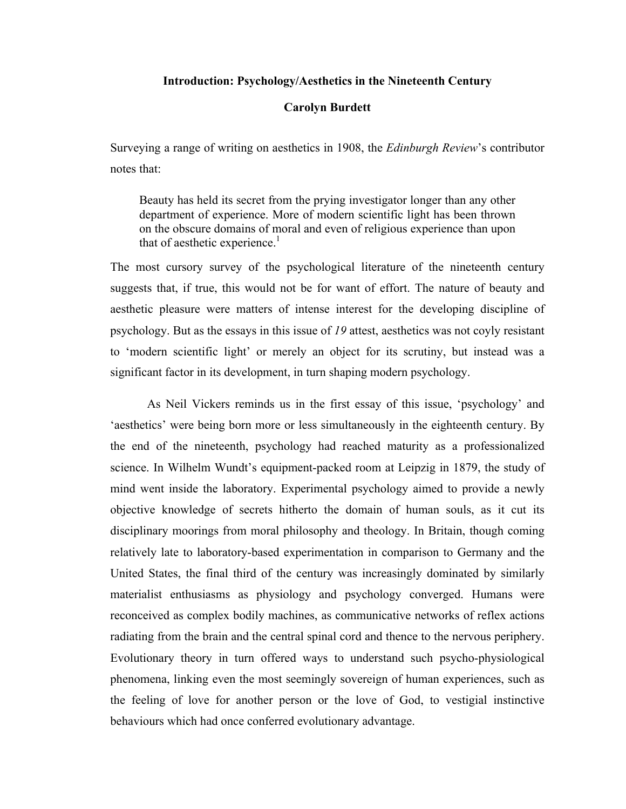# **Introduction: Psychology/Aesthetics in the Nineteenth Century**

## **Carolyn Burdett**

Surveying a range of writing on aesthetics in 1908, the *Edinburgh Review*'s contributor notes that:

Beauty has held its secret from the prying investigator longer than any other department of experience. More of modern scientific light has been thrown on the obscure domains of moral and even of religious experience than upon that of aesthetic experience.<sup>1</sup>

The most cursory survey of the psychological literature of the nineteenth century suggests that, if true, this would not be for want of effort. The nature of beauty and aesthetic pleasure were matters of intense interest for the developing discipline of psychology. But as the essays in this issue of *19* attest, aesthetics was not coyly resistant to 'modern scientific light' or merely an object for its scrutiny, but instead was a significant factor in its development, in turn shaping modern psychology.

As Neil Vickers reminds us in the first essay of this issue, 'psychology' and 'aesthetics' were being born more or less simultaneously in the eighteenth century. By the end of the nineteenth, psychology had reached maturity as a professionalized science. In Wilhelm Wundt's equipment-packed room at Leipzig in 1879, the study of mind went inside the laboratory. Experimental psychology aimed to provide a newly objective knowledge of secrets hitherto the domain of human souls, as it cut its disciplinary moorings from moral philosophy and theology. In Britain, though coming relatively late to laboratory-based experimentation in comparison to Germany and the United States, the final third of the century was increasingly dominated by similarly materialist enthusiasms as physiology and psychology converged. Humans were reconceived as complex bodily machines, as communicative networks of reflex actions radiating from the brain and the central spinal cord and thence to the nervous periphery. Evolutionary theory in turn offered ways to understand such psycho-physiological phenomena, linking even the most seemingly sovereign of human experiences, such as the feeling of love for another person or the love of God, to vestigial instinctive behaviours which had once conferred evolutionary advantage.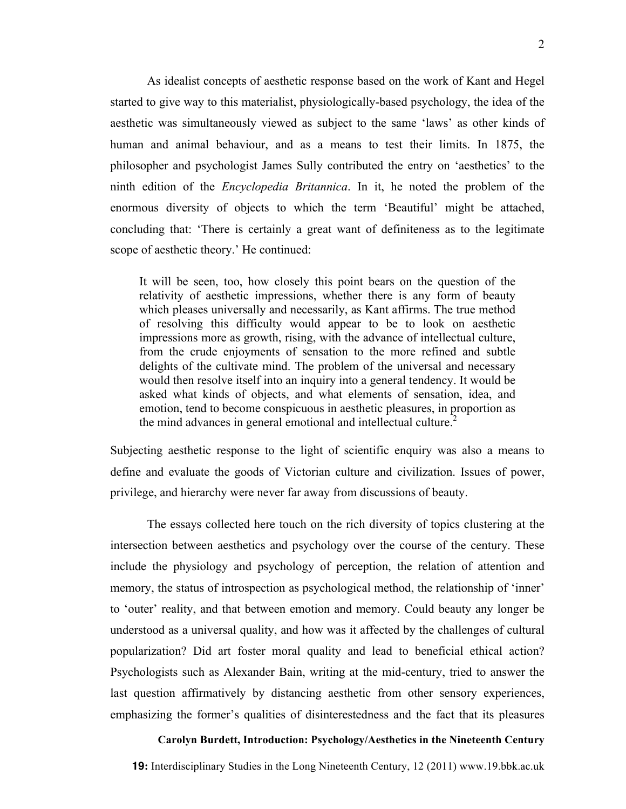As idealist concepts of aesthetic response based on the work of Kant and Hegel started to give way to this materialist, physiologically-based psychology, the idea of the aesthetic was simultaneously viewed as subject to the same 'laws' as other kinds of human and animal behaviour, and as a means to test their limits. In 1875, the philosopher and psychologist James Sully contributed the entry on 'aesthetics' to the ninth edition of the *Encyclopedia Britannica*. In it, he noted the problem of the enormous diversity of objects to which the term 'Beautiful' might be attached, concluding that: 'There is certainly a great want of definiteness as to the legitimate scope of aesthetic theory.' He continued:

It will be seen, too, how closely this point bears on the question of the relativity of aesthetic impressions, whether there is any form of beauty which pleases universally and necessarily, as Kant affirms. The true method of resolving this difficulty would appear to be to look on aesthetic impressions more as growth, rising, with the advance of intellectual culture, from the crude enjoyments of sensation to the more refined and subtle delights of the cultivate mind. The problem of the universal and necessary would then resolve itself into an inquiry into a general tendency. It would be asked what kinds of objects, and what elements of sensation, idea, and emotion, tend to become conspicuous in aesthetic pleasures, in proportion as the mind advances in general emotional and intellectual culture.<sup>2</sup>

Subjecting aesthetic response to the light of scientific enquiry was also a means to define and evaluate the goods of Victorian culture and civilization. Issues of power, privilege, and hierarchy were never far away from discussions of beauty.

The essays collected here touch on the rich diversity of topics clustering at the intersection between aesthetics and psychology over the course of the century. These include the physiology and psychology of perception, the relation of attention and memory, the status of introspection as psychological method, the relationship of 'inner' to 'outer' reality, and that between emotion and memory. Could beauty any longer be understood as a universal quality, and how was it affected by the challenges of cultural popularization? Did art foster moral quality and lead to beneficial ethical action? Psychologists such as Alexander Bain, writing at the mid-century, tried to answer the last question affirmatively by distancing aesthetic from other sensory experiences, emphasizing the former's qualities of disinterestedness and the fact that its pleasures

#### **Carolyn Burdett, Introduction: Psychology/Aesthetics in the Nineteenth Century**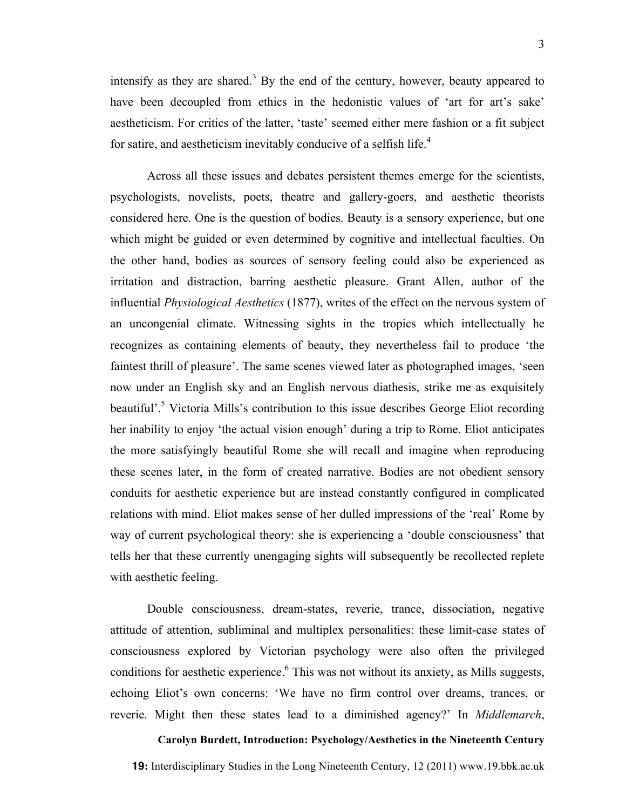intensify as they are shared.<sup>3</sup> By the end of the century, however, beauty appeared to have been decoupled from ethics in the hedonistic values of 'art for art's sake' aestheticism. For critics of the latter, 'taste' seemed either mere fashion or a fit subject for satire, and aestheticism inevitably conducive of a selfish life.<sup>4</sup>

Across all these issues and debates persistent themes emerge for the scientists, psychologists, novelists, poets, theatre and gallery-goers, and aesthetic theorists considered here. One is the question of bodies. Beauty is a sensory experience, but one which might be guided or even determined by cognitive and intellectual faculties. On the other hand, bodies as sources of sensory feeling could also be experienced as irritation and distraction, barring aesthetic pleasure. Grant Allen, author of the influential *Physiological Aesthetics* (1877), writes of the effect on the nervous system of an uncongenial climate. Witnessing sights in the tropics which intellectually he recognizes as containing elements of beauty, they nevertheless fail to produce 'the faintest thrill of pleasure'. The same scenes viewed later as photographed images, 'seen now under an English sky and an English nervous diathesis, strike me as exquisitely beautiful'.<sup>5</sup> Victoria Mills's contribution to this issue describes George Eliot recording her inability to enjoy 'the actual vision enough' during a trip to Rome. Eliot anticipates the more satisfyingly beautiful Rome she will recall and imagine when reproducing these scenes later, in the form of created narrative. Bodies are not obedient sensory conduits for aesthetic experience but are instead constantly configured in complicated relations with mind. Eliot makes sense of her dulled impressions of the 'real' Rome by way of current psychological theory: she is experiencing a 'double consciousness' that tells her that these currently unengaging sights will subsequently be recollected replete with aesthetic feeling.

Double consciousness, dream-states, reverie, trance, dissociation, negative attitude of attention, subliminal and multiplex personalities: these limit-case states of consciousness explored by Victorian psychology were also often the privileged conditions for aesthetic experience.<sup>6</sup> This was not without its anxiety, as Mills suggests, echoing Eliot's own concerns: 'We have no firm control over dreams, trances, or reverie. Might then these states lead to a diminished agency?' In *Middlemarch*,

**Carolyn Burdett, Introduction: Psychology/Aesthetics in the Nineteenth Century**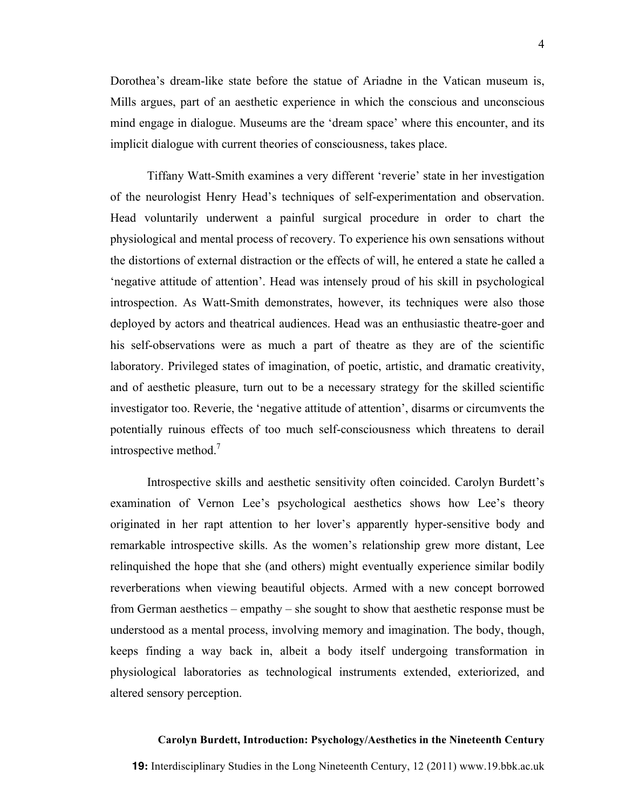Dorothea's dream-like state before the statue of Ariadne in the Vatican museum is, Mills argues, part of an aesthetic experience in which the conscious and unconscious mind engage in dialogue. Museums are the 'dream space' where this encounter, and its implicit dialogue with current theories of consciousness, takes place.

Tiffany Watt-Smith examines a very different 'reverie' state in her investigation of the neurologist Henry Head's techniques of self-experimentation and observation. Head voluntarily underwent a painful surgical procedure in order to chart the physiological and mental process of recovery. To experience his own sensations without the distortions of external distraction or the effects of will, he entered a state he called a 'negative attitude of attention'. Head was intensely proud of his skill in psychological introspection. As Watt-Smith demonstrates, however, its techniques were also those deployed by actors and theatrical audiences. Head was an enthusiastic theatre-goer and his self-observations were as much a part of theatre as they are of the scientific laboratory. Privileged states of imagination, of poetic, artistic, and dramatic creativity, and of aesthetic pleasure, turn out to be a necessary strategy for the skilled scientific investigator too. Reverie, the 'negative attitude of attention', disarms or circumvents the potentially ruinous effects of too much self-consciousness which threatens to derail introspective method.<sup>7</sup>

Introspective skills and aesthetic sensitivity often coincided. Carolyn Burdett's examination of Vernon Lee's psychological aesthetics shows how Lee's theory originated in her rapt attention to her lover's apparently hyper-sensitive body and remarkable introspective skills. As the women's relationship grew more distant, Lee relinquished the hope that she (and others) might eventually experience similar bodily reverberations when viewing beautiful objects. Armed with a new concept borrowed from German aesthetics – empathy – she sought to show that aesthetic response must be understood as a mental process, involving memory and imagination. The body, though, keeps finding a way back in, albeit a body itself undergoing transformation in physiological laboratories as technological instruments extended, exteriorized, and altered sensory perception.

### **Carolyn Burdett, Introduction: Psychology/Aesthetics in the Nineteenth Century**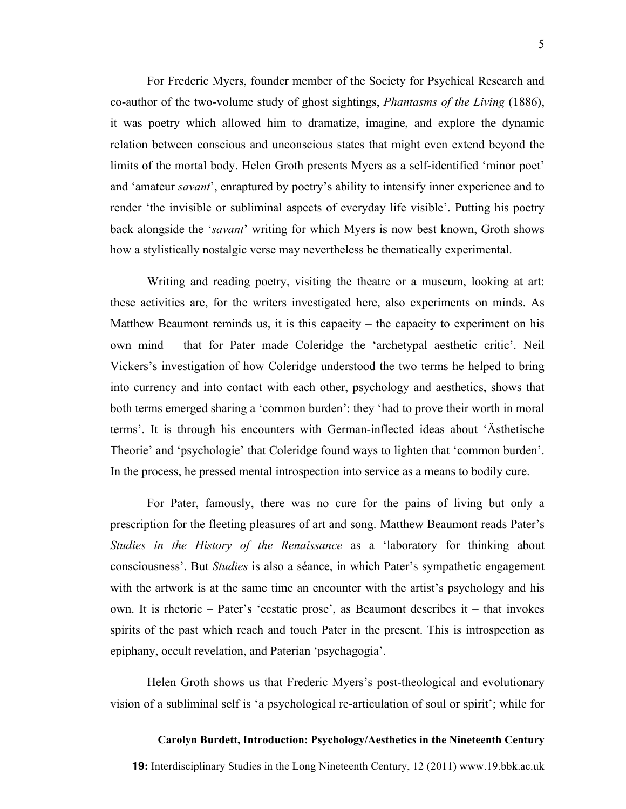For Frederic Myers, founder member of the Society for Psychical Research and co-author of the two-volume study of ghost sightings, *Phantasms of the Living* (1886), it was poetry which allowed him to dramatize, imagine, and explore the dynamic relation between conscious and unconscious states that might even extend beyond the limits of the mortal body. Helen Groth presents Myers as a self-identified 'minor poet' and 'amateur *savant*', enraptured by poetry's ability to intensify inner experience and to render 'the invisible or subliminal aspects of everyday life visible'. Putting his poetry back alongside the '*savant*' writing for which Myers is now best known, Groth shows how a stylistically nostalgic verse may nevertheless be thematically experimental.

Writing and reading poetry, visiting the theatre or a museum, looking at art: these activities are, for the writers investigated here, also experiments on minds. As Matthew Beaumont reminds us, it is this capacity – the capacity to experiment on his own mind – that for Pater made Coleridge the 'archetypal aesthetic critic'. Neil Vickers's investigation of how Coleridge understood the two terms he helped to bring into currency and into contact with each other, psychology and aesthetics, shows that both terms emerged sharing a 'common burden': they 'had to prove their worth in moral terms'. It is through his encounters with German-inflected ideas about 'Ästhetische Theorie' and 'psychologie' that Coleridge found ways to lighten that 'common burden'. In the process, he pressed mental introspection into service as a means to bodily cure.

For Pater, famously, there was no cure for the pains of living but only a prescription for the fleeting pleasures of art and song. Matthew Beaumont reads Pater's *Studies in the History of the Renaissance* as a 'laboratory for thinking about consciousness'. But *Studies* is also a séance, in which Pater's sympathetic engagement with the artwork is at the same time an encounter with the artist's psychology and his own. It is rhetoric – Pater's 'ecstatic prose', as Beaumont describes it – that invokes spirits of the past which reach and touch Pater in the present. This is introspection as epiphany, occult revelation, and Paterian 'psychagogia'.

Helen Groth shows us that Frederic Myers's post-theological and evolutionary vision of a subliminal self is 'a psychological re-articulation of soul or spirit'; while for

#### **Carolyn Burdett, Introduction: Psychology/Aesthetics in the Nineteenth Century**